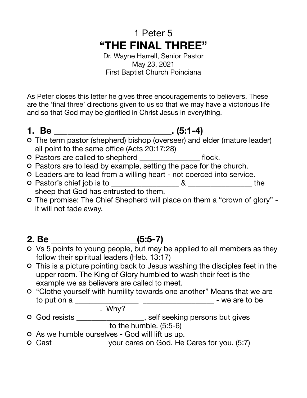# 1 Peter 5 **"THE FINAL THREE"**

Dr. Wayne Harrell, Senior Pastor May 23, 2021 First Baptist Church Poinciana

As Peter closes this letter he gives three encouragements to believers. These are the 'final three' directions given to us so that we may have a victorious life and so that God may be glorified in Christ Jesus in everything.

**1. Be \_\_\_\_\_\_\_\_\_\_\_\_\_\_\_\_\_\_\_\_\_\_\_\_\_\_. (5:1-4)** 

- The term pastor (shepherd) bishop (overseer) and elder (mature leader) all point to the same office (Acts 20:17;28)
- O Pastors are called to shepherd \_\_\_\_\_\_\_\_\_\_\_\_\_\_\_\_\_\_\_\_\_\_\_\_ flock.
- Pastors are to lead by example, setting the pace for the church.
- Leaders are to lead from a willing heart not coerced into service.
- Pastor's chief job is to \_\_\_\_\_\_\_\_\_\_\_\_\_\_\_\_\_\_ & \_\_\_\_\_\_\_\_\_\_\_\_\_\_\_\_\_ the sheep that God has entrusted to them.
- The promise: The Chief Shepherd will place on them a "crown of glory" it will not fade away.

# **2. Be \_\_\_\_\_\_\_\_\_\_\_\_\_\_\_\_\_\_\_(5:5-7)**

- Vs 5 points to young people, but may be applied to all members as they follow their spiritual leaders (Heb. 13:17)
- This is a picture pointing back to Jesus washing the disciples feet in the upper room. The King of Glory humbled to wash their feet is the example we as believers are called to meet.
- "Clothe yourself with humility towards one another" Means that we are to put on a \_\_\_\_\_\_\_\_\_\_\_\_\_\_\_\_\_ \_\_\_\_\_\_\_\_\_\_\_\_\_\_\_\_\_\_\_ - we are to be
	- \_\_\_\_\_\_\_\_\_\_\_\_\_\_\_\_\_. Why?
- God resists \_\_\_\_\_\_\_\_\_\_\_\_\_\_\_\_\_\_\_, self seeking persons but gives \_\_\_\_\_\_\_\_\_\_\_\_\_\_\_\_\_\_\_ to the humble. (5:5-6)
- As we humble ourselves God will lift us up.
- Cast \_\_\_\_\_\_\_\_\_\_\_\_\_\_ your cares on God. He Cares for you. (5:7)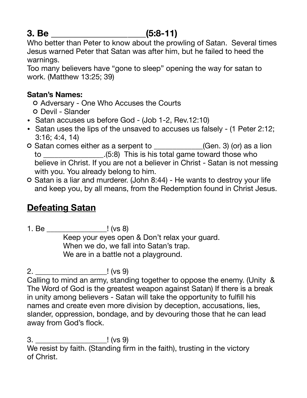## **3. Be \_\_\_\_\_\_\_\_\_\_\_\_\_\_\_\_\_\_\_\_\_(5:8-11)**

Who better than Peter to know about the prowling of Satan. Several times Jesus warned Peter that Satan was after him, but he failed to heed the warnings.

Too many believers have "gone to sleep" opening the way for satan to work. (Matthew 13:25; 39)

### **Satan's Names:**

- Adversary One Who Accuses the Courts
- o Devil Slander
- Satan accuses us before God (Job 1-2, Rev.12:10)
- Satan uses the lips of the unsaved to accuses us falsely (1 Peter 2:12; 3:16; 4:4, 14)
- O Satan comes either as a serpent to \_\_\_\_\_\_\_\_\_\_(Gen. 3) (or) as a lion to \_\_\_\_\_\_\_\_\_\_\_\_\_\_\_\_.(5:8) This is his total game toward those who believe in Christ. If you are not a believer in Christ - Satan is not messing with you. You already belong to him.
- o Satan is a liar and murderer. (John 8:44) He wants to destroy your life and keep you, by all means, from the Redemption found in Christ Jesus.

## **Defeating Satan**

1. Be \_\_\_\_\_\_\_\_\_\_\_\_\_\_\_\_! (vs 8)

 Keep your eyes open & Don't relax your guard. When we do, we fall into Satan's trap. We are in a battle not a playground.

## 2. \_\_\_\_\_\_\_\_\_\_\_\_\_\_\_\_\_\_\_! (vs 9)

Calling to mind an army, standing together to oppose the enemy. (Unity & The Word of God is the greatest weapon against Satan) If there is a break in unity among believers - Satan will take the opportunity to fulfill his names and create even more division by deception, accusations, lies, slander, oppression, bondage, and by devouring those that he can lead away from God's flock.

3. \_\_\_\_\_\_\_\_\_\_\_\_\_\_\_\_\_\_\_! (vs 9) We resist by faith. (Standing firm in the faith), trusting in the victory of Christ.